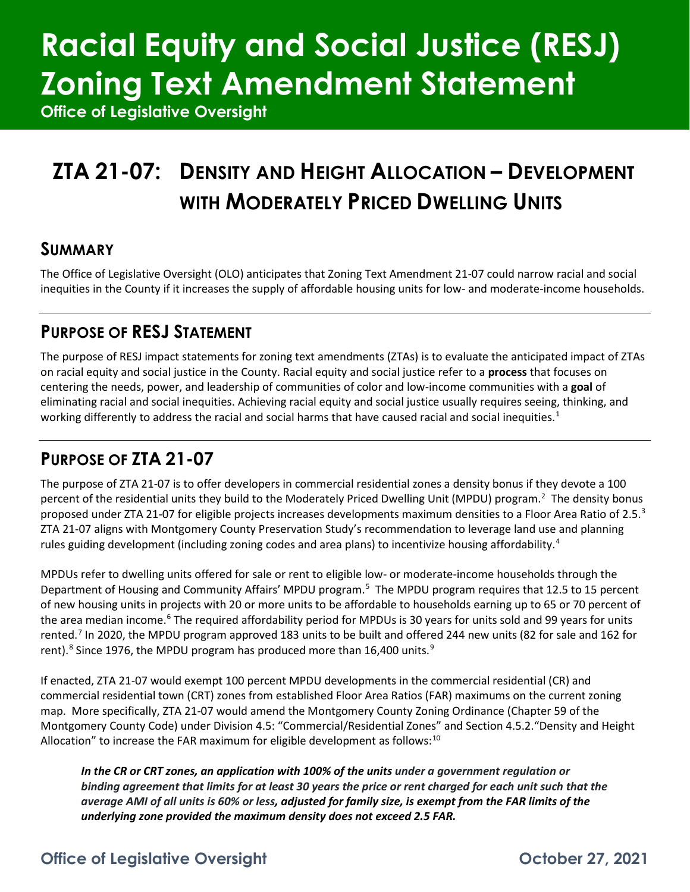# **Racial Equity and Social Justice (RESJ) Zoning Text Amendment Statement**

**Office of Legislative Oversight**

## **ZTA 21-07: DENSITY AND HEIGHT ALLOCATION – DEVELOPMENT WITH MODERATELY PRICED DWELLING UNITS**

### **SUMMARY**

The Office of Legislative Oversight (OLO) anticipates that Zoning Text Amendment 21-07 could narrow racial and social inequities in the County if it increases the supply of affordable housing units for low- and moderate-income households.

## **PURPOSE OF RESJ STATEMENT**

The purpose of RESJ impact statements for zoning text amendments (ZTAs) is to evaluate the anticipated impact of ZTAs on racial equity and social justice in the County. Racial equity and social justice refer to a **process** that focuses on centering the needs, power, and leadership of communities of color and low-income communities with a **goal** of eliminating racial and social inequities. Achieving racial equity and social justice usually requires seeing, thinking, and working differently to address the racial and social harms that have caused racial and social inequities.<sup>[1](#page-4-0)</sup>

## **PURPOSE OF ZTA 21-07**

The purpose of ZTA 21-07 is to offer developers in commercial residential zones a density bonus if they devote a 100 percent of the residential units they build to the Moderately Priced Dwelling Unit (MPDU) program.<sup>[2](#page-4-1)</sup> The density bonus proposed under ZTA 21-07 for eligible projects increases developments maximum densities to a Floor Area Ratio of 2.5.<sup>[3](#page-4-2)</sup> ZTA 21-07 aligns with Montgomery County Preservation Study's recommendation to leverage land use and planning rules guiding development (including zoning codes and area plans) to incentivize housing affordability.<sup>[4](#page-4-3)</sup>

MPDUs refer to dwelling units offered for sale or rent to eligible low- or moderate-income households through the Department of Housing and Community Affairs' MPDU program.<sup>[5](#page-4-4)</sup> The MPDU program requires that 12.5 to 15 percent of new housing units in projects with 20 or more units to be affordable to households earning up to 65 or 70 percent of the area median income.<sup>[6](#page-4-5)</sup> The required affordability period for MPDUs is 30 years for units sold and 99 years for units rented.[7](#page-4-6) In 2020, the MPDU program approved 183 units to be built and offered 244 new units (82 for sale and 162 for rent).<sup>[8](#page-4-7)</sup> Since 1[9](#page-4-8)76, the MPDU program has produced more than 16,400 units.<sup>9</sup>

If enacted, ZTA 21-07 would exempt 100 percent MPDU developments in the commercial residential (CR) and commercial residential town (CRT) zones from established Floor Area Ratios (FAR) maximums on the current zoning map. More specifically, ZTA 21-07 would amend the Montgomery County Zoning Ordinance (Chapter 59 of the Montgomery County Code) under Division 4.5: "Commercial/Residential Zones" and Section 4.5.2."Density and Height Allocation" to increase the FAR maximum for eligible development as follows: $10$ 

*In the CR or CRT zones, an application with 100% of the units under a government regulation or binding agreement that limits for at least 30 years the price or rent charged for each unit such that the average AMI of all units is 60% or less, adjusted for family size, is exempt from the FAR limits of the underlying zone provided the maximum density does not exceed 2.5 FAR.* 

## **Office of Legislative Oversight Contract Contract Contract Contract October 27, 2021**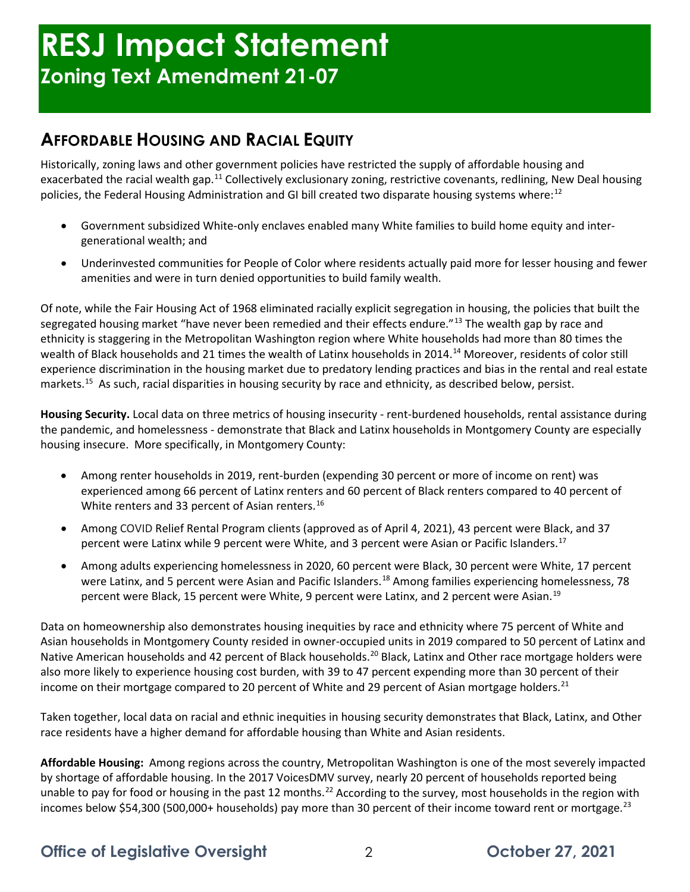## **AFFORDABLE HOUSING AND RACIAL EQUITY**

Historically, zoning laws and other government policies have restricted the supply of affordable housing and exacerbated the racial wealth gap.<sup>[11](#page-4-10)</sup> Collectively exclusionary zoning, restrictive covenants, redlining, New Deal housing policies, the Federal Housing Administration and GI bill created two disparate housing systems where:<sup>[12](#page-4-11)</sup>

- Government subsidized White-only enclaves enabled many White families to build home equity and intergenerational wealth; and
- Underinvested communities for People of Color where residents actually paid more for lesser housing and fewer amenities and were in turn denied opportunities to build family wealth.

Of note, while the Fair Housing Act of 1968 eliminated racially explicit segregation in housing, the policies that built the segregated housing market "have never been remedied and their effects endure."<sup>[13](#page-4-12)</sup> The wealth gap by race and ethnicity is staggering in the Metropolitan Washington region where White households had more than 80 times the wealth of Black households and 21 times the wealth of Latinx households in 20[14](#page-4-13).<sup>14</sup> Moreover, residents of color still experience discrimination in the housing market due to predatory lending practices and bias in the rental and real estate markets. [15](#page-4-14) As such, racial disparities in housing security by race and ethnicity, as described below, persist.

**Housing Security.** Local data on three metrics of housing insecurity - rent-burdened households, rental assistance during the pandemic, and homelessness - demonstrate that Black and Latinx households in Montgomery County are especially housing insecure. More specifically, in Montgomery County:

- Among renter households in 2019, rent-burden (expending 30 percent or more of income on rent) was experienced among 66 percent of Latinx renters and 60 percent of Black renters compared to 40 percent of White renters and 33 percent of Asian renters. [16](#page-4-15)
- Among COVID Relief Rental Program clients (approved as of April 4, 2021), 43 percent were Black, and 37 percent were Latinx while 9 percent were White, and 3 percent were Asian or Pacific Islanders.<sup>[17](#page-4-16)</sup>
- Among adults experiencing homelessness in 2020, 60 percent were Black, 30 percent were White, 17 percent were Latinx, and 5 percent were Asian and Pacific Islanders.<sup>[18](#page-4-17)</sup> Among families experiencing homelessness, 78 percent were Black, 15 percent were White, 9 percent were Latinx, and 2 percent were Asian.[19](#page-4-18)

Data on homeownership also demonstrates housing inequities by race and ethnicity where 75 percent of White and Asian households in Montgomery County resided in owner-occupied units in 2019 compared to 50 percent of Latinx and Native American households and 42 percent of Black households.<sup>[20](#page-4-19)</sup> Black, Latinx and Other race mortgage holders were also more likely to experience housing cost burden, with 39 to 47 percent expending more than 30 percent of their income on their mortgage compared to 20 percent of White and 29 percent of Asian mortgage holders.<sup>[21](#page-4-20)</sup>

Taken together, local data on racial and ethnic inequities in housing security demonstrates that Black, Latinx, and Other race residents have a higher demand for affordable housing than White and Asian residents.

**Affordable Housing:** Among regions across the country, Metropolitan Washington is one of the most severely impacted by shortage of affordable housing. In the 2017 VoicesDMV survey, nearly 20 percent of households reported being unable to pay for food or housing in the past 12 months.<sup>[22](#page-4-21)</sup> According to the survey, most households in the region with incomes below \$54,300 (500,000+ households) pay more than 30 percent of their income toward rent or mortgage.<sup>[23](#page-4-22)</sup>

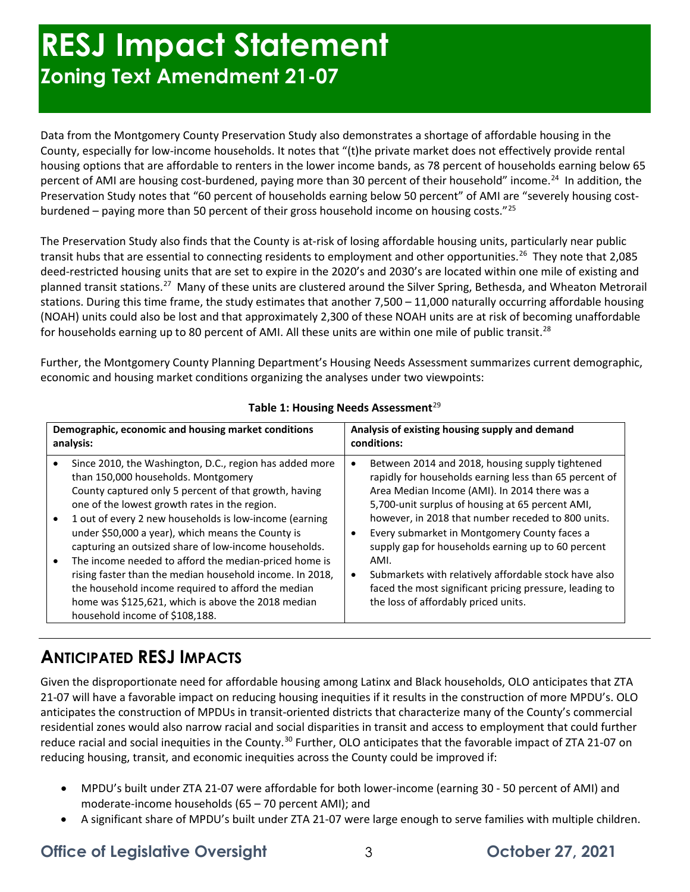## **RESJ Impact Statement Zoning Text Amendment 21-07**

Data from the Montgomery County Preservation Study also demonstrates a shortage of affordable housing in the County, especially for low-income households. It notes that "(t)he private market does not effectively provide rental housing options that are affordable to renters in the lower income bands, as 78 percent of households earning below 65 percent of AMI are housing cost-burdened, paying more than 30 percent of their household" income.<sup>[24](#page-4-23)</sup> In addition, the Preservation Study notes that "60 percent of households earning below 50 percent" of AMI are "severely housing costburdened – paying more than 50 percent of their gross household income on housing costs."[25](#page-4-24)

The Preservation Study also finds that the County is at-risk of losing affordable housing units, particularly near public transit hubs that are essential to connecting residents to employment and other opportunities.<sup>26</sup> They note that 2,085 deed-restricted housing units that are set to expire in the 2020's and 2030's are located within one mile of existing and planned transit stations.[27](#page-4-26) Many of these units are clustered around the Silver Spring, Bethesda, and Wheaton Metrorail stations. During this time frame, the study estimates that another 7,500 – 11,000 naturally occurring affordable housing (NOAH) units could also be lost and that approximately 2,300 of these NOAH units are at risk of becoming unaffordable for households earning up to 80 percent of AMI. All these units are within one mile of public transit.<sup>[28](#page-4-27)</sup>

Further, the Montgomery County Planning Department's Housing Needs Assessment summarizes current demographic, economic and housing market conditions organizing the analyses under two viewpoints:

| Demographic, economic and housing market conditions<br>analysis: |                                                                                                                                                                                                                                                                                                                                                                                                                                                                                                                                                             | Analysis of existing housing supply and demand<br>conditions:                                                                                                                                                                                                                                                                                                                                                                                                                                          |  |
|------------------------------------------------------------------|-------------------------------------------------------------------------------------------------------------------------------------------------------------------------------------------------------------------------------------------------------------------------------------------------------------------------------------------------------------------------------------------------------------------------------------------------------------------------------------------------------------------------------------------------------------|--------------------------------------------------------------------------------------------------------------------------------------------------------------------------------------------------------------------------------------------------------------------------------------------------------------------------------------------------------------------------------------------------------------------------------------------------------------------------------------------------------|--|
|                                                                  | Since 2010, the Washington, D.C., region has added more<br>than 150,000 households. Montgomery<br>County captured only 5 percent of that growth, having<br>one of the lowest growth rates in the region.<br>1 out of every 2 new households is low-income (earning<br>under \$50,000 a year), which means the County is<br>capturing an outsized share of low-income households.<br>The income needed to afford the median-priced home is<br>rising faster than the median household income. In 2018,<br>the household income required to afford the median | Between 2014 and 2018, housing supply tightened<br>rapidly for households earning less than 65 percent of<br>Area Median Income (AMI). In 2014 there was a<br>5,700-unit surplus of housing at 65 percent AMI,<br>however, in 2018 that number receded to 800 units.<br>Every submarket in Montgomery County faces a<br>supply gap for households earning up to 60 percent<br>AMI.<br>Submarkets with relatively affordable stock have also<br>faced the most significant pricing pressure, leading to |  |
|                                                                  | home was \$125,621, which is above the 2018 median<br>household income of \$108,188.                                                                                                                                                                                                                                                                                                                                                                                                                                                                        | the loss of affordably priced units.                                                                                                                                                                                                                                                                                                                                                                                                                                                                   |  |

#### **Table 1: Housing Needs Assessment**<sup>[29](#page-4-28)</sup>

## **ANTICIPATED RESJ IMPACTS**

Given the disproportionate need for affordable housing among Latinx and Black households, OLO anticipates that ZTA 21-07 will have a favorable impact on reducing housing inequities if it results in the construction of more MPDU's. OLO anticipates the construction of MPDUs in transit-oriented districts that characterize many of the County's commercial residential zones would also narrow racial and social disparities in transit and access to employment that could further reduce racial and social inequities in the County.<sup>[30](#page-4-29)</sup> Further, OLO anticipates that the favorable impact of ZTA 21-07 on reducing housing, transit, and economic inequities across the County could be improved if:

- MPDU's built under ZTA 21-07 were affordable for both lower-income (earning 30 50 percent of AMI) and moderate-income households (65 – 70 percent AMI); and
- A significant share of MPDU's built under ZTA 21-07 were large enough to serve families with multiple children.

### **Office of Legislative Oversight** 23 3 3 October 27, 2021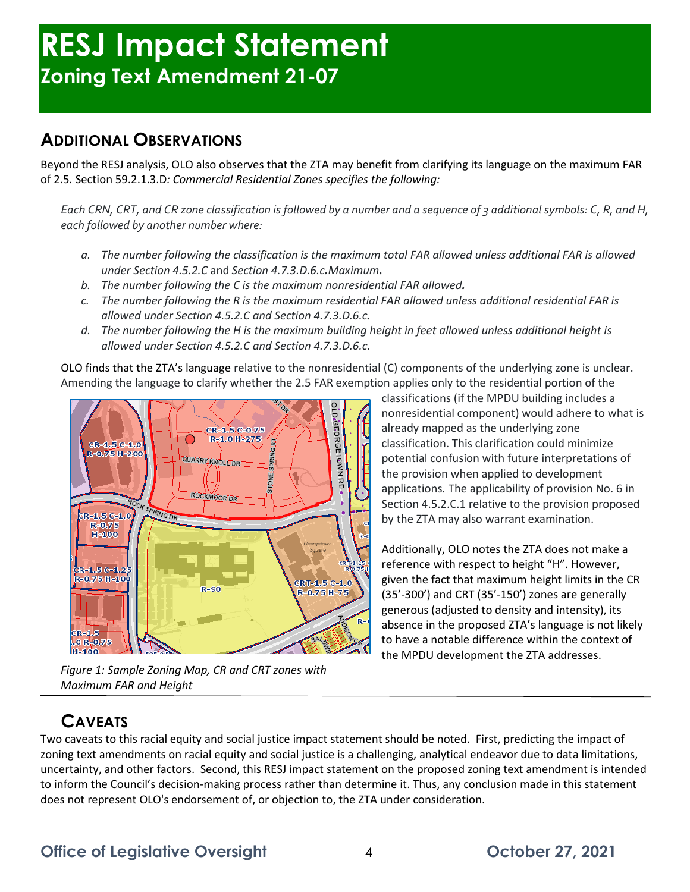## **RESJ Impact Statement Zoning Text Amendment 21-07**

## **ADDITIONAL OBSERVATIONS**

Beyond the RESJ analysis, OLO also observes that the ZTA may benefit from clarifying its language on the maximum FAR of 2.5*.* Section 59.2.1.3.D*: Commercial Residential Zones specifies the following:*

*Each CRN, CRT, and CR zone classification is followed by a number and a sequence of 3 additional symbols: C, R, and H, each followed by another number where:*

- *a. The number following the classification is the maximum total FAR allowed unless additional FAR is allowed under Section [4.5.2.](https://codelibrary.amlegal.com/codes/montgomerycounty/latest/montgomeryco_md_zone2014/0-0-0-3031#JD_4.5.2)C* and *Section 4.7.3.D.6.c.Maximum.*
- *b. The number following the C is the maximum nonresidential FAR allowed.*
- *c. The number following the R is the maximum residential FAR allowed unless additional residential FAR is allowed under Section [4.5.2.](https://codelibrary.amlegal.com/codes/montgomerycounty/latest/montgomeryco_md_zone2014/0-0-0-3031#JD_4.5.2)C and Section [4.7.3.](https://codelibrary.amlegal.com/codes/montgomerycounty/latest/montgomeryco_md_zone2014/0-0-0-3269#JD_4.7.3)D.6.c.*
- *d. The number following the H is the maximum building height in feet allowed unless additional height is allowed under Section [4.5.2.](https://codelibrary.amlegal.com/codes/montgomerycounty/latest/montgomeryco_md_zone2014/0-0-0-3031#JD_4.5.2)C and Section [4.7.3.](https://codelibrary.amlegal.com/codes/montgomerycounty/latest/montgomeryco_md_zone2014/0-0-0-3269#JD_4.7.3)D.6.c.*

OLO finds that the ZTA's language relative to the nonresidential (C) components of the underlying zone is unclear. Amending the language to clarify whether the 2.5 FAR exemption applies only to the residential portion of the



*Figure 1: Sample Zoning Map, CR and CRT zones with Maximum FAR and Height* 

classifications (if the MPDU building includes a nonresidential component) would adhere to what is already mapped as the underlying zone classification. This clarification could minimize potential confusion with future interpretations of the provision when applied to development applications*.* The applicability of provision No. 6 in Section [4.5.2.](https://codelibrary.amlegal.com/codes/montgomerycounty/latest/montgomeryco_md_zone2014/0-0-0-3031#JD_4.5.2)C.1 relative to the provision proposed by the ZTA may also warrant examination.

Additionally, OLO notes the ZTA does not make a reference with respect to height "H". However, given the fact that maximum height limits in the CR (35'-300') and CRT (35'-150') zones are generally generous (adjusted to density and intensity), its absence in the proposed ZTA's language is not likely to have a notable difference within the context of the MPDU development the ZTA addresses.

## **CAVEATS**

Two caveats to this racial equity and social justice impact statement should be noted. First, predicting the impact of zoning text amendments on racial equity and social justice is a challenging, analytical endeavor due to data limitations, uncertainty, and other factors. Second, this RESJ impact statement on the proposed zoning text amendment is intended to inform the Council's decision-making process rather than determine it. Thus, any conclusion made in this statement does not represent OLO's endorsement of, or objection to, the ZTA under consideration.